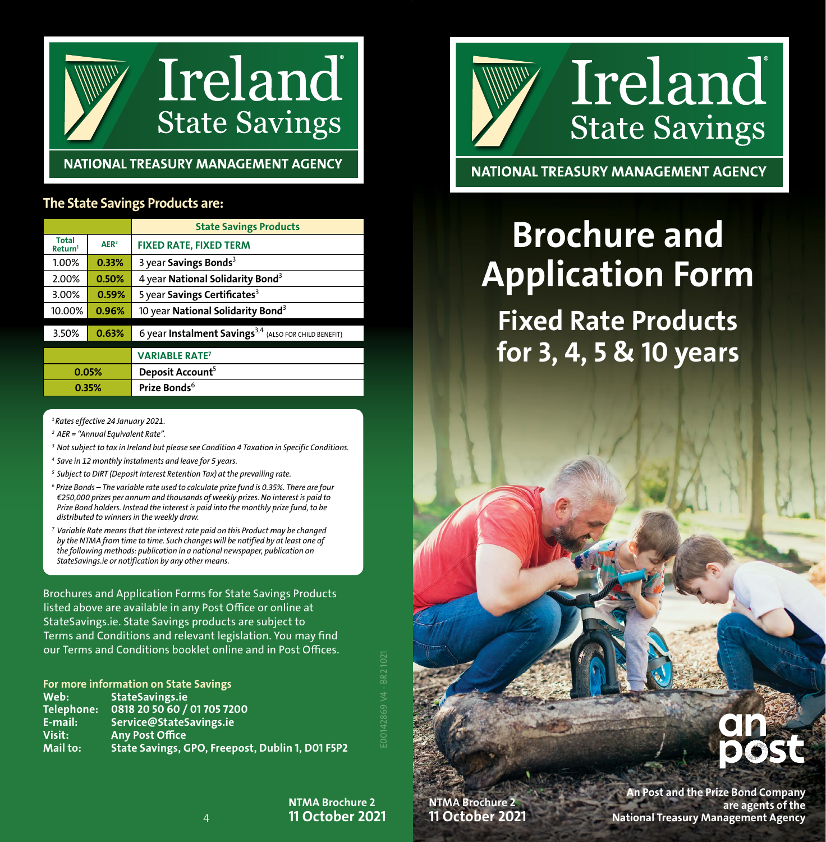

### NATIONAL TREASURY MANAGEMENT AGENCY

#### The State Savings Products are:

|                                     |                  | <b>State Savings Products</b>                                     |  |
|-------------------------------------|------------------|-------------------------------------------------------------------|--|
| <b>Total</b><br>Return <sup>1</sup> | $\mathbf{AFR}^2$ | <b>FIXED RATE, FIXED TERM</b>                                     |  |
| 1.00%                               | 0.33%            | 3 year Savings Bonds <sup>3</sup>                                 |  |
| 2.00%                               | 0.50%            | 4 year National Solidarity Bond <sup>3</sup>                      |  |
| 3.00%                               | 0.59%            | 5 year Savings Certificates <sup>3</sup>                          |  |
| 10.00%                              | 0.96%            | 10 year National Solidarity Bond <sup>3</sup>                     |  |
| 3.50%                               | 0.63%            | 6 year Instalment Savings <sup>3,4</sup> (ALSO FOR CHILD BENEFIT) |  |
|                                     |                  | <b>VARIABLE RATE<sup>7</sup></b>                                  |  |
| 0.05%                               |                  | Deposit Account <sup>5</sup>                                      |  |
| 0.35%                               |                  | Prize Bonds <sup>6</sup>                                          |  |

*1 Rates effective 24 January 2021.*

*<sup>2</sup> AER = "Annual Equivalent Rate".*

- *3 Not subject to tax in Ireland but please see Condition 4 Taxation in Specific Conditions.*
- *<sup>4</sup> Save in 12 monthly instalments and leave for 5 years.*
- *<sup>5</sup> Subject to DIRT (Deposit Interest Retention Tax) at the prevailing rate.*
- <sup>6</sup> Prize Bonds The variable rate used to calculate prize fund is 0.35%. There are four *€250,000 prizes per annum and thousands of weekly prizes. No interest is paid to Prize Bond holders. Instead the interest is paid into the monthly prize fund, to be distributed to winners in the weekly draw.*
- *<sup>7</sup> Variable Rate means that the interest rate paid on this Product may be changed by the NTMA from time to time. Such changes will be notified by at least one of the following methods: publication in a national newspaper, publication on StateSavings.ie or notification by any other means.*

Brochures and Application Forms for State Savings Products listed above are available in any Post Office or online at StateSavings.ie. State Savings products are subject to Terms and Conditions and relevant legislation. You may find our Terms and Conditions booklet online and in Post Offices.

For more information on State Savings Web: StateSavings.ie Telephone: 0818 20 50 60 / 01 705 7200<br>E-mail: Service@StateSavings.ie E-mail: Service@StateSavings.ie<br>Visit: Any Post Office Visit: Any Post Office State Savings, GPO, Freepost, Dublin 1, D01 F5P2

> NTMA Brochure 2 11 October 2021

E00142869 V4 - BR2 1021



NATIONAL TREASURY MANAGEMENT AGENCY

# **Brochure and** Application Form

Fixed Rate Products for 3, 4, 5 & 10 years

## NTMA Brochure 2 11 October 2021



An Post and the Prize Bond Company are agents of the National Treasury Management Agency